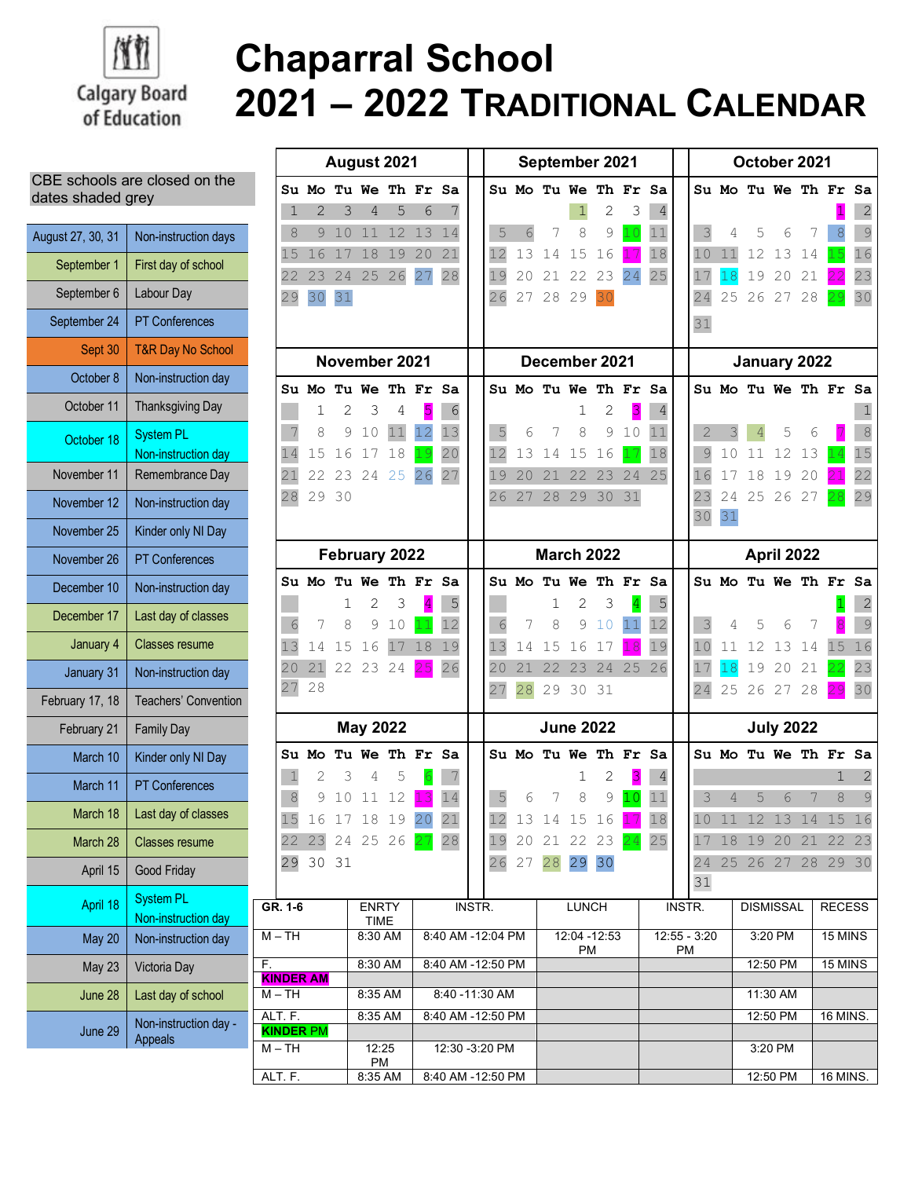

## **Chaparral School 2021 – 2022 TRADITIONAL CALENDAR**

## CBE schools are closed on the dates shaded grey

| August 27, 30, 31 | Non-instruction days                    |  |  |  |
|-------------------|-----------------------------------------|--|--|--|
| September 1       | First day of school                     |  |  |  |
| September 6       | Labour Day                              |  |  |  |
| September 24      | <b>PT Conferences</b>                   |  |  |  |
| Sept 30           | <b>T&amp;R Day No School</b>            |  |  |  |
| October 8         | Non-instruction day                     |  |  |  |
| October 11        | <b>Thanksgiving Day</b>                 |  |  |  |
| October 18        | <b>System PL</b><br>Non-instruction day |  |  |  |
| November 11       | Remembrance Day                         |  |  |  |
| November 12       | Non-instruction day                     |  |  |  |
| November 25       | Kinder only NI Day                      |  |  |  |
| November 26       | <b>PT Conferences</b>                   |  |  |  |
| December 10       | Non-instruction day                     |  |  |  |
| December 17       | Last day of classes                     |  |  |  |
| January 4         | <b>Classes resume</b>                   |  |  |  |
| January 31        | Non-instruction day                     |  |  |  |
| February 17, 18   | <b>Teachers' Convention</b>             |  |  |  |
| February 21       | <b>Family Day</b>                       |  |  |  |
| March 10          | Kinder only NI Day                      |  |  |  |
| March 11          | <b>PT Conferences</b>                   |  |  |  |
| March 18          | Last day of classes                     |  |  |  |
| March 28          | <b>Classes resume</b>                   |  |  |  |
| April 15          | Good Friday                             |  |  |  |
| April 18          | <b>System PL</b><br>Non-instruction day |  |  |  |
| <b>May 20</b>     | Non-instruction day                     |  |  |  |
| <b>May 23</b>     | Victoria Day                            |  |  |  |
| June 28           | Last day of school                      |  |  |  |
| June 29           | Non-instruction day -<br>Appeals        |  |  |  |

| August 2021                     |                             |                |                      |         |                   | September 2021  |              |                                        |    |                                |    | October 2021 |                |                |                                    |    |                |                      |          |         |                 |                |
|---------------------------------|-----------------------------|----------------|----------------------|---------|-------------------|-----------------|--------------|----------------------------------------|----|--------------------------------|----|--------------|----------------|----------------|------------------------------------|----|----------------|----------------------|----------|---------|-----------------|----------------|
|                                 | Su Mo                       |                | Tu We Th Fr Sa       |         |                   |                 |              |                                        |    | Su Mo Tu We Th Fr              |    |              |                | Sa             |                                    |    |                | Su Mo Tu We Th Fr Sa |          |         |                 |                |
| $\mathbf 1$                     | 2                           | 3              | 4                    | 5       | 6                 | 7               |              |                                        |    |                                | 1  | 2            | 3              | $\overline{4}$ |                                    |    |                |                      |          |         |                 | $\overline{2}$ |
| 8                               | 9                           | 10             | 11                   | 12      | 13                | 14              |              | 5                                      | 6  |                                | 8  | 9            | 10             | 11             |                                    | 3  | 4              | 5                    | 6        |         | 8               | $\mathcal{G}$  |
| 15                              | 16                          | 17             | 18                   | 19      | 20                | 21              |              | 12                                     | 13 | 14                             | 15 | 16           |                | 18             |                                    | 10 | 11             | 12                   | 13       | 14      |                 | 16             |
| 22                              | 23                          | 24             | 25                   | 26      | 27                | 28              |              | 19                                     | 20 | 21                             | 22 | 23           | 24             | 25             |                                    | 17 | 18             | 19                   | 20       | 21      |                 | 23             |
| 29                              | 30                          | 31             |                      |         |                   |                 |              | 26                                     | 27 | 28 29                          |    | 30           |                |                |                                    | 24 |                | 25 26 27 28          |          |         |                 | 30             |
|                                 |                             |                |                      |         |                   |                 |              |                                        |    |                                |    |              |                |                |                                    | 31 |                |                      |          |         |                 |                |
|                                 |                             |                |                      |         |                   |                 |              |                                        |    |                                |    |              |                |                |                                    |    |                |                      |          |         |                 |                |
| November 2021                   |                             |                |                      |         |                   |                 |              | December 2021                          |    |                                |    |              |                |                | January 2022                       |    |                |                      |          |         |                 |                |
|                                 | Su Mo                       |                | Tu We Th Fr Sa       |         |                   |                 |              |                                        |    | Su Mo Tu We Th Fr Sa           |    |              |                |                |                                    |    |                | Su Mo Tu We Th Fr Sa |          |         |                 |                |
|                                 | 1                           | $\overline{2}$ | 3                    | 4       | 5                 | 6               |              |                                        |    |                                | 1  | 2            | 3              | 4              |                                    |    |                |                      |          |         |                 |                |
|                                 | 8                           | 9              | 10                   | 11      | 12                | 13              |              | 5                                      | 6  |                                | 8  | 9            | 10             | 11             |                                    | 2  |                |                      | 5        | 6       |                 | 8              |
| 14                              | 15                          | 16             | 17                   | 18      | 19                | 20              |              | 12                                     | 13 | 14                             | 15 | 16           | 17             | 18             |                                    | 9  | 10             | 11                   | 12       | 13      | 14              | 15             |
| 21                              | 22                          |                | 23 24 25             |         | 26                | 27              |              | 19                                     | 20 | 21                             | 22 | 23           | 24             | 25             |                                    | 16 | 17             | 18                   | 19       | 20      |                 | 22             |
| 28                              |                             | 29 30          |                      |         |                   |                 |              | 26                                     | 27 | 28                             | 29 | 30           | 31             |                |                                    | 23 | 24             |                      | 25 26 27 |         |                 | 29             |
|                                 |                             |                |                      |         |                   |                 |              |                                        |    |                                |    |              |                |                |                                    | 30 | 31             |                      |          |         |                 |                |
|                                 |                             |                |                      |         |                   |                 |              |                                        |    |                                |    |              |                |                |                                    |    |                |                      |          |         |                 |                |
|                                 |                             |                | February 2022        |         |                   |                 |              | <b>March 2022</b><br>Su Mo Tu We Th Fr |    |                                |    |              |                |                | April 2022<br>Su Mo Tu We Th Fr Sa |    |                |                      |          |         |                 |                |
|                                 | Su Mo                       |                | Tu We Th Fr Sa       |         |                   |                 |              |                                        |    |                                |    |              |                | Sa             |                                    |    |                |                      |          |         |                 |                |
|                                 |                             | 1              | 2                    | 3       | $\overline{4}$    | 5               |              |                                        |    | 1                              | 2  | 3            | $\overline{4}$ | 5              |                                    |    |                |                      |          |         |                 | 2              |
| 6                               | 7                           | 8              | 9                    | 10      | 11                | 12              |              | 6                                      | 7  | 8                              | 9  | 10           | 11             | 12             |                                    | 3  | 4              | 5                    | 6        |         |                 | 9              |
| 13                              | 14                          | 15             | 16                   | 17      | 18                | 19              |              | 13                                     | 14 | 15                             | 16 | 17           | 18             | 19             |                                    | 10 | 11             | 12                   | 13       | 14      | 15              | 16             |
| 20                              | 21                          |                | 22 23 24             |         | 25                | 26              |              | 20                                     | 21 | 22                             | 23 | 24           | 25             | 26             |                                    | 17 | 18             | 19                   | 20       | 21      |                 | 23             |
| 27                              | 28                          |                |                      |         |                   |                 |              | 27                                     | 28 | 29                             | 30 | 31           |                |                |                                    | 24 | 25             |                      | 26 27    | 28      |                 | 30             |
|                                 |                             |                | <b>May 2022</b>      |         |                   |                 |              | <b>June 2022</b>                       |    |                                |    |              |                |                | <b>July 2022</b>                   |    |                |                      |          |         |                 |                |
|                                 | Su Mo                       |                | Tu We Th Fr Sa       |         |                   |                 |              |                                        |    | Su Mo Tu We Th Fr              |    |              |                | Sa             |                                    |    |                | Su Mo Tu We Th Fr Sa |          |         |                 |                |
| $\mathbf 1$                     | 2                           | 3              | 4                    | 5       | $6\overline{6}$   |                 |              |                                        |    |                                | 1  | 2            | 3              | 4              |                                    |    |                |                      |          |         | $\mathbf{1}$    | $\overline{2}$ |
| $\,8\,$                         | 9                           | 10             | 11                   | 12      |                   | 14              |              | 5                                      | 6  |                                | 8  | 9            |                | 11             |                                    | 3  | $\overline{4}$ | 5                    | 6        | 7       | 8               | $\mathcal{G}$  |
|                                 |                             |                | 15 16 17 18 19 20 21 |         |                   |                 |              | 12                                     |    | 13 14 15 16 <mark>17</mark> 18 |    |              |                |                |                                    |    |                | 10 11 12 13 14 15 16 |          |         |                 |                |
|                                 |                             |                | 22 23 24 25 26 27 28 |         |                   |                 |              |                                        |    | 19 20 21 22 23 24 25           |    |              |                |                |                                    |    |                | 17 18 19 20 21       |          |         |                 | 22 23          |
|                                 | 29 30 31                    |                |                      |         |                   |                 |              |                                        |    | 26 27 28 29 30                 |    |              |                |                |                                    |    |                | 24 25 26 27 28 29 30 |          |         |                 |                |
|                                 |                             |                |                      |         |                   |                 |              |                                        |    |                                |    |              |                |                |                                    | 31 |                |                      |          |         |                 |                |
| GR. 1-6<br><b>ENRTY</b><br>TIME |                             |                |                      | INSTR.  |                   |                 | <b>LUNCH</b> |                                        |    |                                |    | INSTR.       |                |                | <b>DISMISSAL</b>                   |    |                | <b>RECESS</b>        |          |         |                 |                |
| $M - TH$                        |                             |                |                      | 8:30 AM | 8:40 AM -12:04 PM |                 |              |                                        |    | 12:04 - 12:53                  |    |              |                | $12:55 - 3:20$ |                                    |    | 3:20 PM        |                      |          | 15 MINS |                 |                |
| F.                              |                             | 8:30 AM        |                      |         | 8:40 AM -12:50 PM |                 |              | PM                                     |    |                                |    | PM           |                |                | 12:50 PM                           |    |                | 15 MINS              |          |         |                 |                |
|                                 | <b>KINDER AM</b>            |                |                      |         |                   |                 |              |                                        |    |                                |    |              |                |                |                                    |    |                |                      |          |         |                 |                |
| $M-TH$                          |                             |                | 8:35 AM              |         |                   | 8:40 - 11:30 AM |              |                                        |    |                                |    |              |                |                |                                    |    |                |                      | 11:30 AM |         |                 |                |
|                                 | ALT. F.<br><b>KINDER PM</b> |                | 8:35 AM              |         | 8:40 AM -12:50 PM |                 |              |                                        |    |                                |    |              |                |                |                                    |    |                |                      | 12:50 PM |         | <b>16 MINS.</b> |                |
| $M - TH$                        |                             |                | 12:25                |         | 12:30 -3:20 PM    |                 |              |                                        |    |                                |    |              |                |                |                                    |    |                |                      | 3:20 PM  |         |                 |                |
| ALT. F.                         |                             |                | PM<br>8:35 AM        |         | 8:40 AM -12:50 PM |                 |              |                                        |    |                                |    |              |                |                |                                    |    |                |                      | 12:50 PM |         | 16 MINS.        |                |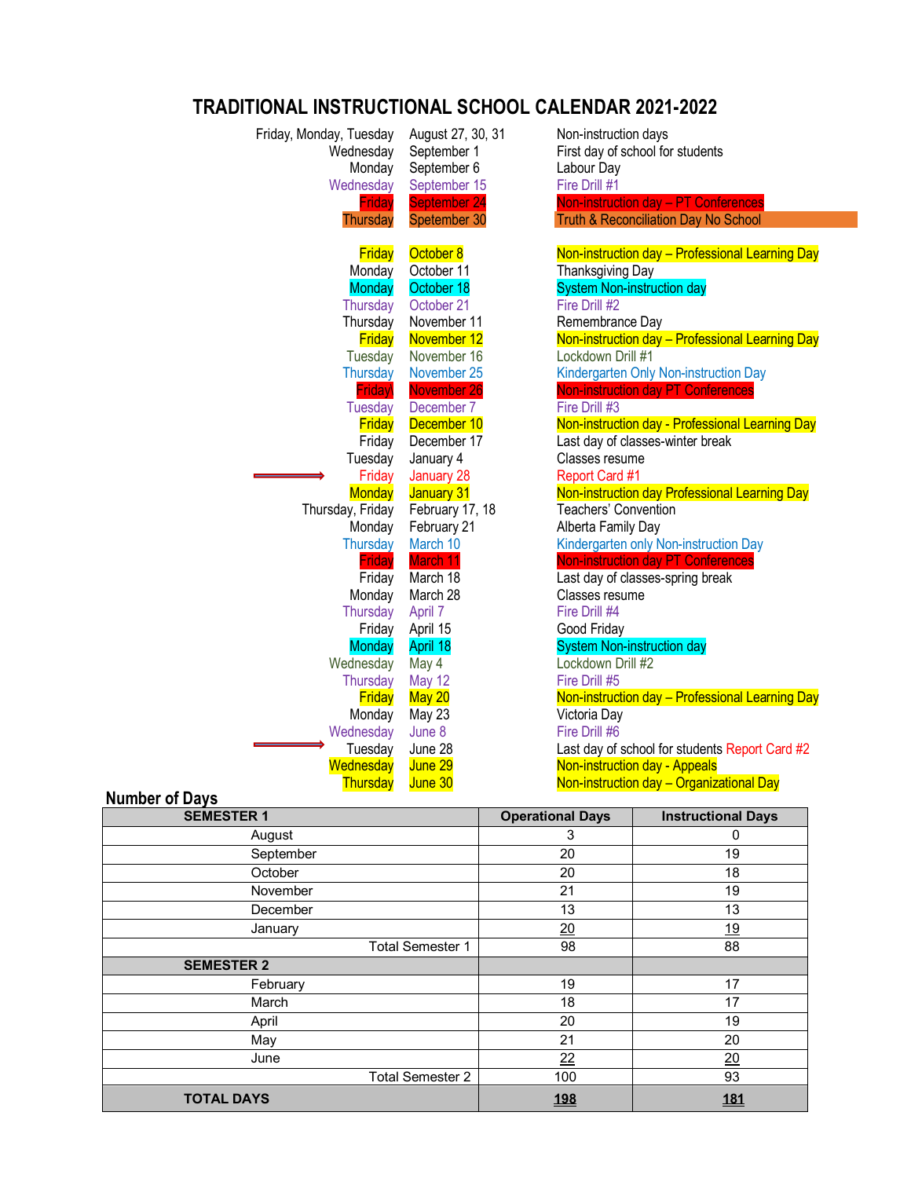## **TRADITIONAL INSTRUCTIONAL SCHOOL CALENDAR 2021-2022**

| Friday, Monday, Tuesday<br>Wednesday<br>Monday<br>Wednesday<br>Friday | August 27, 30, 31<br>September 1<br>September 6<br>September 15<br>September 24 | Non-instruction days<br>First day of school for students<br>Labour Day<br>Fire Drill #1<br>Non-instruction day - PT Conferences |
|-----------------------------------------------------------------------|---------------------------------------------------------------------------------|---------------------------------------------------------------------------------------------------------------------------------|
| Thursday                                                              | Spetember 30                                                                    | <b>Truth &amp; Reconciliation Day No School</b>                                                                                 |
|                                                                       |                                                                                 |                                                                                                                                 |
| Friday                                                                | October 8                                                                       | Non-instruction day - Professional Learning Day                                                                                 |
| Monday                                                                | October 11                                                                      | Thanksgiving Day                                                                                                                |
| <b>Monday</b>                                                         | October 18                                                                      | <b>System Non-instruction day</b>                                                                                               |
| Thursday                                                              | October 21                                                                      | Fire Drill #2                                                                                                                   |
| Thursday                                                              | November 11                                                                     | Remembrance Day                                                                                                                 |
| Friday                                                                | November 12                                                                     | Non-instruction day - Professional Learning Day                                                                                 |
| Tuesday                                                               | November 16                                                                     | Lockdown Drill #1                                                                                                               |
| <b>Thursday</b>                                                       | November 25                                                                     | Kindergarten Only Non-instruction Day                                                                                           |
| Friday                                                                | November 26                                                                     | <b>Non-instruction day PT Conferences</b>                                                                                       |
| <b>Tuesday</b>                                                        | December 7                                                                      | Fire Drill #3                                                                                                                   |
| Friday                                                                | December 10                                                                     | Non-instruction day - Professional Learning Day                                                                                 |
| Friday                                                                | December 17                                                                     | Last day of classes-winter break                                                                                                |
| Tuesday                                                               | January 4                                                                       | Classes resume                                                                                                                  |
| Friday                                                                | January 28                                                                      | Report Card #1                                                                                                                  |
| <b>Monday</b>                                                         | January 31                                                                      | Non-instruction day Professional Learning Day                                                                                   |
| Thursday, Friday                                                      | February 17, 18                                                                 | Teachers' Convention                                                                                                            |
| Monday                                                                | February 21                                                                     | Alberta Family Day                                                                                                              |
| <b>Thursday</b>                                                       | March 10                                                                        | Kindergarten only Non-instruction Day                                                                                           |
| <b>Friday</b>                                                         | March 11                                                                        | <b>Non-instruction day PT Conferences</b>                                                                                       |
| Friday                                                                | March 18                                                                        | Last day of classes-spring break                                                                                                |
| Monday                                                                | March 28                                                                        | Classes resume                                                                                                                  |
| Thursday                                                              | April 7                                                                         | Fire Drill #4                                                                                                                   |
| Friday                                                                | April 15                                                                        | Good Friday                                                                                                                     |
| <b>Monday</b>                                                         | April 18                                                                        | <b>System Non-instruction day</b>                                                                                               |
| Wednesday                                                             | May 4                                                                           | Lockdown Drill #2                                                                                                               |
| Thursday                                                              | <b>May 12</b>                                                                   | Fire Drill #5                                                                                                                   |
| <b>Friday</b>                                                         | <b>May 20</b>                                                                   | Non-instruction day - Professional Learning Day                                                                                 |
| Monday                                                                | May 23                                                                          | Victoria Day                                                                                                                    |
| Wednesday                                                             | June 8                                                                          | Fire Drill #6                                                                                                                   |
| Tuesday                                                               | June 28                                                                         | Last day of school for students Report Card #2                                                                                  |
| Wednesday                                                             | June 29                                                                         | <b>Non-instruction day - Appeals</b>                                                                                            |
| Thursday                                                              | June 30                                                                         | Non-instruction day - Organizational Day                                                                                        |
|                                                                       |                                                                                 |                                                                                                                                 |

| <b>Number of Days</b> |  |
|-----------------------|--|
|                       |  |

| . . <b>.</b><br><b>SEMESTER 1</b> | <b>Operational Days</b> | <b>Instructional Days</b> |
|-----------------------------------|-------------------------|---------------------------|
| August                            | 3                       | 0                         |
| September                         | 20                      | 19                        |
| October                           | 20                      | 18                        |
| November                          | 21                      | 19                        |
| December                          | 13                      | 13                        |
| January                           | 20                      | <u>19</u>                 |
| <b>Total Semester 1</b>           | 98                      | 88                        |
| <b>SEMESTER 2</b>                 |                         |                           |
| February                          | 19                      | 17                        |
| March                             | 18                      | 17                        |
| April                             | 20                      | 19                        |
| May                               | 21                      | 20                        |
| June                              | 22                      | 20                        |
| <b>Total Semester 2</b>           | 100                     | 93                        |
| <b>TOTAL DAYS</b>                 | <u>198</u>              | <u>181</u>                |